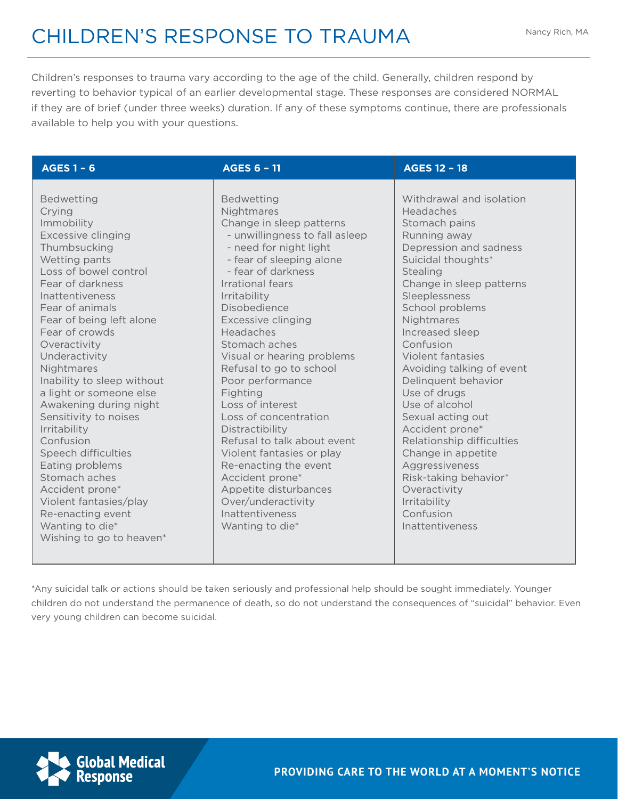Children's responses to trauma vary according to the age of the child. Generally, children respond by reverting to behavior typical of an earlier developmental stage. These responses are considered NORMAL if they are of brief (under three weeks) duration. If any of these symptoms continue, there are professionals available to help you with your questions.

| <b>AGES 1 - 6</b>                                                                                                                                                                                                                                                                                                                                                                                                                                                                                                                                                                                     | <b>AGES 6 - 11</b>                                                                                                                                                                                                                                                                                                                                                                                                                                                                                                                                                                                                                             | <b>AGES 12 - 18</b>                                                                                                                                                                                                                                                                                                                                                                                                                                                                                                                                                      |
|-------------------------------------------------------------------------------------------------------------------------------------------------------------------------------------------------------------------------------------------------------------------------------------------------------------------------------------------------------------------------------------------------------------------------------------------------------------------------------------------------------------------------------------------------------------------------------------------------------|------------------------------------------------------------------------------------------------------------------------------------------------------------------------------------------------------------------------------------------------------------------------------------------------------------------------------------------------------------------------------------------------------------------------------------------------------------------------------------------------------------------------------------------------------------------------------------------------------------------------------------------------|--------------------------------------------------------------------------------------------------------------------------------------------------------------------------------------------------------------------------------------------------------------------------------------------------------------------------------------------------------------------------------------------------------------------------------------------------------------------------------------------------------------------------------------------------------------------------|
| <b>Bedwetting</b><br>Crying<br>Immobility<br>Excessive clinging<br>Thumbsucking<br>Wetting pants<br>Loss of bowel control<br>Fear of darkness<br>Inattentiveness<br>Fear of animals<br>Fear of being left alone<br>Fear of crowds<br>Overactivity<br>Underactivity<br>Nightmares<br>Inability to sleep without<br>a light or someone else<br>Awakening during night<br>Sensitivity to noises<br>Irritability<br>Confusion<br>Speech difficulties<br>Eating problems<br>Stomach aches<br>Accident prone*<br>Violent fantasies/play<br>Re-enacting event<br>Wanting to die*<br>Wishing to go to heaven* | <b>Bedwetting</b><br>Nightmares<br>Change in sleep patterns<br>- unwillingness to fall asleep<br>- need for night light<br>- fear of sleeping alone<br>- fear of darkness<br>Irrational fears<br>Irritability<br>Disobedience<br><b>Excessive clinging</b><br>Headaches<br>Stomach aches<br>Visual or hearing problems<br>Refusal to go to school<br>Poor performance<br>Fighting<br>Loss of interest<br>Loss of concentration<br>Distractibility<br>Refusal to talk about event<br>Violent fantasies or play<br>Re-enacting the event<br>Accident prone*<br>Appetite disturbances<br>Over/underactivity<br>Inattentiveness<br>Wanting to die* | Withdrawal and isolation<br>Headaches<br>Stomach pains<br>Running away<br>Depression and sadness<br>Suicidal thoughts*<br>Stealing<br>Change in sleep patterns<br>Sleeplessness<br>School problems<br>Nightmares<br>Increased sleep<br>Confusion<br><b>Violent fantasies</b><br>Avoiding talking of event<br>Delinquent behavior<br>Use of drugs<br>Use of alcohol<br>Sexual acting out<br>Accident prone*<br>Relationship difficulties<br>Change in appetite<br>Aggressiveness<br>Risk-taking behavior*<br>Overactivity<br>Irritability<br>Confusion<br>Inattentiveness |

\*Any suicidal talk or actions should be taken seriously and professional help should be sought immediately. Younger children do not understand the permanence of death, so do not understand the consequences of "suicidal" behavior. Even very young children can become suicidal.



**PROVIDING CARE TO THE WORLD AT A MOMENT'S NOTICE**